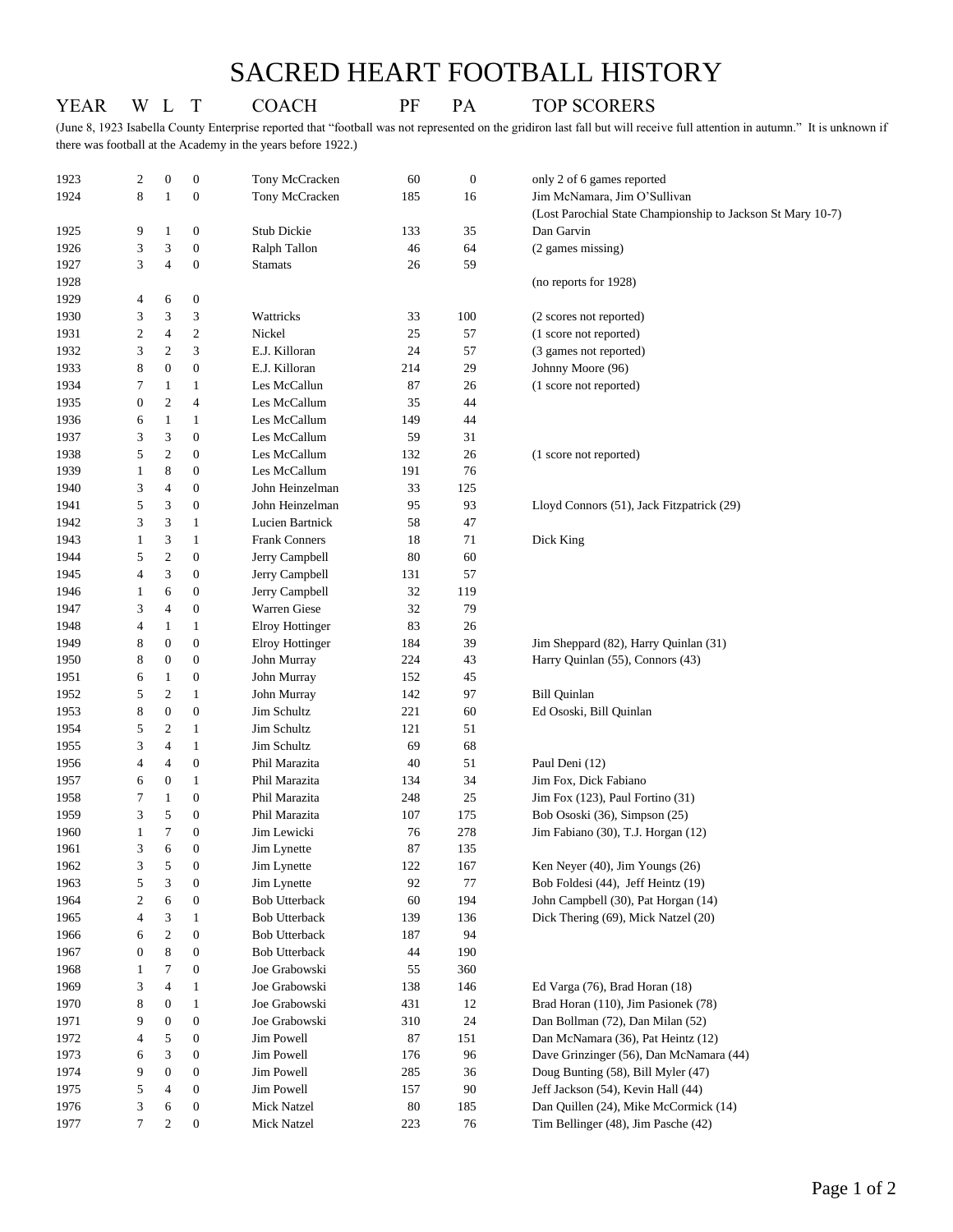## SACRED HEART FOOTBALL HISTORY

(June 8, 1923 Isabella County Enterprise reported that "football was not represented on the gridiron last fall but will receive full attention in autumn." It is unknown if there was football at the Academy in the years before 1922.)

YEAR W L T COACH PF PA TOP SCORERS

| 1923 | 2                        | $\boldsymbol{0}$    | $\mathbf{0}$                         | Tony McCracken         | 60  | $\boldsymbol{0}$ | only 2 of 6 games reported                                  |
|------|--------------------------|---------------------|--------------------------------------|------------------------|-----|------------------|-------------------------------------------------------------|
| 1924 | 8                        | $\mathbf{1}$        | $\boldsymbol{0}$                     | Tony McCracken         | 185 | 16               | Jim McNamara, Jim O'Sullivan                                |
|      |                          |                     |                                      |                        |     |                  | (Lost Parochial State Championship to Jackson St Mary 10-7) |
| 1925 | 9                        | 1                   | $\boldsymbol{0}$                     | Stub Dickie            | 133 | 35               | Dan Garvin                                                  |
| 1926 | 3                        | 3                   | $\boldsymbol{0}$                     | Ralph Tallon           | 46  | 64               | (2 games missing)                                           |
| 1927 | 3                        | $\overline{4}$      | $\boldsymbol{0}$                     | <b>Stamats</b>         | 26  | 59               |                                                             |
| 1928 |                          |                     |                                      |                        |     |                  | (no reports for 1928)                                       |
| 1929 | 4                        | 6                   | $\boldsymbol{0}$                     |                        |     |                  |                                                             |
| 1930 | 3                        | 3                   | 3                                    | Wattricks              | 33  | 100              | (2 scores not reported)                                     |
| 1931 | $\mathfrak{2}$           | 4                   | $\overline{c}$                       | Nickel                 | 25  | 57               | (1 score not reported)                                      |
| 1932 | 3                        | 2                   | 3                                    | E.J. Killoran          | 24  | 57               | (3 games not reported)                                      |
| 1933 | 8                        | $\boldsymbol{0}$    | $\boldsymbol{0}$                     | E.J. Killoran          | 214 | 29               | Johnny Moore (96)                                           |
| 1934 | 7                        | 1                   | 1                                    | Les McCallun           | 87  | 26               | (1 score not reported)                                      |
| 1935 | $\boldsymbol{0}$         | $\overline{c}$      | 4                                    | Les McCallum           | 35  | 44               |                                                             |
| 1936 | 6                        | $\mathbf{1}$        | 1                                    | Les McCallum           | 149 | 44               |                                                             |
| 1937 | 3                        | 3                   | $\boldsymbol{0}$                     | Les McCallum           | 59  | 31               |                                                             |
| 1938 | 5                        | 2                   | $\mathbf{0}$                         | Les McCallum           | 132 | 26               | (1 score not reported)                                      |
| 1939 | 1                        | 8                   | $\boldsymbol{0}$                     | Les McCallum           | 191 | 76               |                                                             |
| 1940 | 3                        | $\overline{4}$      | $\boldsymbol{0}$                     | John Heinzelman        | 33  | 125              |                                                             |
| 1941 | 5                        | 3                   | $\boldsymbol{0}$                     | John Heinzelman        | 95  | 93               | Lloyd Connors (51), Jack Fitzpatrick (29)                   |
| 1942 | 3                        | 3                   | $\mathbf{1}$                         | Lucien Bartnick        | 58  | 47               |                                                             |
| 1943 | $\mathbf{1}$             | 3                   | 1                                    | <b>Frank Conners</b>   | 18  | 71               | Dick King                                                   |
| 1944 | 5                        | $\overline{c}$      | $\boldsymbol{0}$                     | Jerry Campbell         | 80  | 60               |                                                             |
| 1945 | $\overline{4}$           | 3                   | $\boldsymbol{0}$                     | Jerry Campbell         | 131 | 57               |                                                             |
| 1946 | 1                        | 6                   | $\boldsymbol{0}$                     | Jerry Campbell         | 32  | 119              |                                                             |
| 1947 | 3                        | $\overline{4}$      | $\boldsymbol{0}$                     | Warren Giese           | 32  | 79               |                                                             |
| 1948 | 4                        | $\mathbf{1}$        | $\mathbf{1}$                         | Elroy Hottinger        | 83  | 26               |                                                             |
| 1949 | 8                        | $\boldsymbol{0}$    | $\mathbf{0}$                         | <b>Elroy Hottinger</b> | 184 | 39               | Jim Sheppard (82), Harry Quinlan (31)                       |
| 1950 | 8                        | $\boldsymbol{0}$    | $\mathbf{0}$                         | John Murray            | 224 | 43               | Harry Quinlan (55), Connors (43)                            |
| 1951 | 6                        | $\mathbf{1}$        | 0                                    | John Murray            | 152 | 45               |                                                             |
| 1952 | 5                        | $\overline{2}$      | 1                                    | John Murray            | 142 | 97               | <b>Bill Quinlan</b>                                         |
| 1953 | 8                        | $\boldsymbol{0}$    | $\boldsymbol{0}$                     | Jim Schultz            | 221 | 60               | Ed Ososki, Bill Quinlan                                     |
| 1954 | 5                        | 2                   | $\mathbf{1}$                         | Jim Schultz            | 121 | 51               |                                                             |
| 1955 | 3                        | $\overline{4}$      | 1                                    | Jim Schultz            | 69  | 68               |                                                             |
| 1956 | $\overline{4}$           | 4                   | $\boldsymbol{0}$                     | Phil Marazita          | 40  | 51               | Paul Deni (12)                                              |
| 1957 | 6                        | $\boldsymbol{0}$    | $\mathbf{1}$                         | Phil Marazita          | 134 | 34               | Jim Fox, Dick Fabiano                                       |
| 1958 | 7                        | 1                   | $\boldsymbol{0}$                     | Phil Marazita          | 248 | 25               | Jim Fox (123), Paul Fortino (31)                            |
| 1959 | 3                        | 5                   | $\mathbf{0}$                         | Phil Marazita          | 107 | 175              | Bob Ososki (36), Simpson (25)                               |
| 1960 | 1                        | 7                   | $\mathbf{0}$                         | Jim Lewicki            | 76  | 278              | Jim Fabiano (30), T.J. Horgan (12)                          |
| 1961 | 3                        | 6                   | $\boldsymbol{0}$                     | Jim Lynette            | 87  | 135              |                                                             |
| 1962 | 3                        | 5                   | $\boldsymbol{0}$                     | Jim Lynette            | 122 | 167              | Ken Neyer (40), Jim Youngs (26)                             |
| 1963 | 5                        | 3                   | $\boldsymbol{0}$                     | Jim Lynette            | 92  | 77               | Bob Foldesi (44), Jeff Heintz (19)                          |
| 1964 | $\overline{\mathbf{c}}$  | 6                   | $\boldsymbol{0}$                     | <b>Bob Utterback</b>   | 60  | 194              | John Campbell (30), Pat Horgan (14)                         |
| 1965 | 4                        | 3                   | $\mathbf{1}$                         | <b>Bob Utterback</b>   | 139 | 136              | Dick Thering (69), Mick Natzel (20)                         |
| 1966 | 6                        | $\overline{c}$      | $\boldsymbol{0}$                     | <b>Bob Utterback</b>   | 187 | 94               |                                                             |
| 1967 | $\boldsymbol{0}$         | 8                   | $\boldsymbol{0}$                     | <b>Bob Utterback</b>   | 44  | 190              |                                                             |
| 1968 | 1                        | 7                   | $\boldsymbol{0}$                     | Joe Grabowski          | 55  | 360              |                                                             |
| 1969 | 3                        | $\overline{4}$      | 1                                    | Joe Grabowski          | 138 | 146              | Ed Varga (76), Brad Horan (18)                              |
| 1970 | 8                        | $\boldsymbol{0}$    | $\mathbf{1}$                         | Joe Grabowski          | 431 | 12               | Brad Horan (110), Jim Pasionek (78)                         |
| 1971 | 9                        | $\boldsymbol{0}$    | $\boldsymbol{0}$                     | Joe Grabowski          | 310 | 24               | Dan Bollman (72), Dan Milan (52)                            |
| 1972 | $\overline{\mathcal{L}}$ | 5                   | $\boldsymbol{0}$                     | Jim Powell             | 87  | 151              | Dan McNamara (36), Pat Heintz (12)                          |
| 1973 | 6                        | 3                   | $\boldsymbol{0}$                     | Jim Powell             | 176 | 96               | Dave Grinzinger (56), Dan McNamara (44)                     |
| 1974 | 9                        | $\boldsymbol{0}$    | $\boldsymbol{0}$                     | Jim Powell             | 285 | 36               | Doug Bunting (58), Bill Myler (47)                          |
| 1975 | 5                        | 4                   | $\boldsymbol{0}$                     | Jim Powell             | 157 | 90               | Jeff Jackson (54), Kevin Hall (44)                          |
| 1976 |                          |                     |                                      | <b>Mick Natzel</b>     | 80  | 185              | Dan Quillen (24), Mike McCormick (14)                       |
| 1977 | 3<br>$\tau$              | 6<br>$\mathfrak{2}$ | $\boldsymbol{0}$<br>$\boldsymbol{0}$ | Mick Natzel            | 223 | 76               | Tim Bellinger (48), Jim Pasche (42)                         |
|      |                          |                     |                                      |                        |     |                  |                                                             |